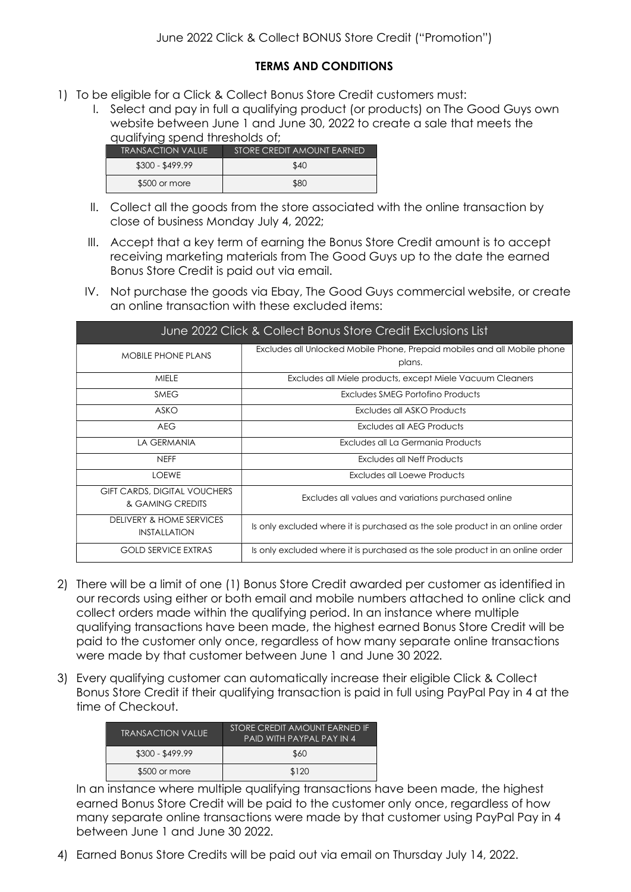## TERMS AND CONDITIONS

- 1) To be eligible for a Click & Collect Bonus Store Credit customers must:
	- I. Select and pay in full a qualifying product (or products) on The Good Guys own website between June 1 and June 30, 2022 to create a sale that meets the qualifying spend thresholds of;

| TRANSACTION VALUE | STORE CREDIT AMOUNT EARNED |
|-------------------|----------------------------|
| $$300 - $499.99$  | \$40                       |
| \$500 or more     | \$80                       |

- II. Collect all the goods from the store associated with the online transaction by close of business Monday July 4, 2022;
- III. Accept that a key term of earning the Bonus Store Credit amount is to accept receiving marketing materials from The Good Guys up to the date the earned Bonus Store Credit is paid out via email.
- IV. Not purchase the goods via Ebay, The Good Guys commercial website, or create an online transaction with these excluded items:

| June 2022 Click & Collect Bonus Store Credit Exclusions List |                                                                                    |  |
|--------------------------------------------------------------|------------------------------------------------------------------------------------|--|
| <b>MOBILE PHONE PLANS</b>                                    | Excludes all Unlocked Mobile Phone, Prepaid mobiles and all Mobile phone<br>plans. |  |
| <b>MIELE</b>                                                 | Excludes all Miele products, except Miele Vacuum Cleaners                          |  |
| <b>SMEG</b>                                                  | Excludes SMEG Portofino Products                                                   |  |
| ASKO                                                         | Excludes all ASKO Products                                                         |  |
| <b>AEG</b>                                                   | Excludes all AEG Products                                                          |  |
| LA GERMANIA                                                  | Excludes all La Germania Products                                                  |  |
| <b>NEFF</b>                                                  | Excludes all Neff Products                                                         |  |
| LOEWE                                                        | Excludes all Loewe Products                                                        |  |
| <b>GIFT CARDS, DIGITAL VOUCHERS</b><br>& GAMING CREDITS      | Excludes all values and variations purchased online                                |  |
| DELIVERY & HOME SERVICES<br><b>INSTALLATION</b>              | Is only excluded where it is purchased as the sole product in an online order      |  |
| <b>GOLD SERVICE EXTRAS</b>                                   | Is only excluded where it is purchased as the sole product in an online order      |  |

- 2) There will be a limit of one (1) Bonus Store Credit awarded per customer as identified in our records using either or both email and mobile numbers attached to online click and collect orders made within the qualifying period. In an instance where multiple qualifying transactions have been made, the highest earned Bonus Store Credit will be paid to the customer only once, regardless of how many separate online transactions were made by that customer between June 1 and June 30 2022.
- 3) Every qualifying customer can automatically increase their eligible Click & Collect Bonus Store Credit if their qualifying transaction is paid in full using PayPal Pay in 4 at the time of Checkout.

| TRANSACTION VALUE | STORE CREDIT AMOUNT EARNED IF<br>PAID WITH PAYPAL PAY IN 4 |
|-------------------|------------------------------------------------------------|
| $$300 - $499.99$  | \$60                                                       |
| \$500 or more     | \$120                                                      |

In an instance where multiple qualifying transactions have been made, the highest earned Bonus Store Credit will be paid to the customer only once, regardless of how many separate online transactions were made by that customer using PayPal Pay in 4 between June 1 and June 30 2022.

4) Earned Bonus Store Credits will be paid out via email on Thursday July 14, 2022.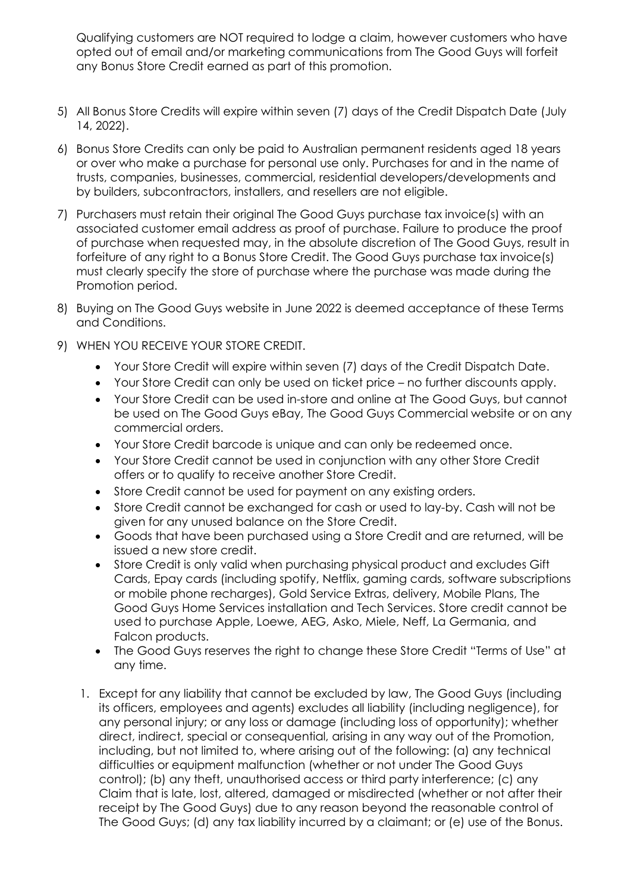Qualifying customers are NOT required to lodge a claim, however customers who have opted out of email and/or marketing communications from The Good Guys will forfeit any Bonus Store Credit earned as part of this promotion.

- 5) All Bonus Store Credits will expire within seven (7) days of the Credit Dispatch Date (July 14, 2022).
- 6) Bonus Store Credits can only be paid to Australian permanent residents aged 18 years or over who make a purchase for personal use only. Purchases for and in the name of trusts, companies, businesses, commercial, residential developers/developments and by builders, subcontractors, installers, and resellers are not eligible.
- 7) Purchasers must retain their original The Good Guys purchase tax invoice(s) with an associated customer email address as proof of purchase. Failure to produce the proof of purchase when requested may, in the absolute discretion of The Good Guys, result in forfeiture of any right to a Bonus Store Credit. The Good Guys purchase tax invoice(s) must clearly specify the store of purchase where the purchase was made during the Promotion period.
- 8) Buying on The Good Guys website in June 2022 is deemed acceptance of these Terms and Conditions.
- 9) WHEN YOU RECEIVE YOUR STORE CREDIT.
	- Your Store Credit will expire within seven (7) days of the Credit Dispatch Date.
	- Your Store Credit can only be used on ticket price no further discounts apply.
	- Your Store Credit can be used in-store and online at The Good Guys, but cannot be used on The Good Guys eBay, The Good Guys Commercial website or on any commercial orders.
	- Your Store Credit barcode is unique and can only be redeemed once.
	- Your Store Credit cannot be used in conjunction with any other Store Credit offers or to qualify to receive another Store Credit.
	- Store Credit cannot be used for payment on any existing orders.
	- Store Credit cannot be exchanged for cash or used to lay-by. Cash will not be given for any unused balance on the Store Credit.
	- Goods that have been purchased using a Store Credit and are returned, will be issued a new store credit.
	- Store Credit is only valid when purchasing physical product and excludes Gift Cards, Epay cards (including spotify, Netflix, gaming cards, software subscriptions or mobile phone recharges), Gold Service Extras, delivery, Mobile Plans, The Good Guys Home Services installation and Tech Services. Store credit cannot be used to purchase Apple, Loewe, AEG, Asko, Miele, Neff, La Germania, and Falcon products.
	- The Good Guys reserves the right to change these Store Credit "Terms of Use" at any time.
	- 1. Except for any liability that cannot be excluded by law, The Good Guys (including its officers, employees and agents) excludes all liability (including negligence), for any personal injury; or any loss or damage (including loss of opportunity); whether direct, indirect, special or consequential, arising in any way out of the Promotion, including, but not limited to, where arising out of the following: (a) any technical difficulties or equipment malfunction (whether or not under The Good Guys control); (b) any theft, unauthorised access or third party interference; (c) any Claim that is late, lost, altered, damaged or misdirected (whether or not after their receipt by The Good Guys) due to any reason beyond the reasonable control of The Good Guys; (d) any tax liability incurred by a claimant; or (e) use of the Bonus.